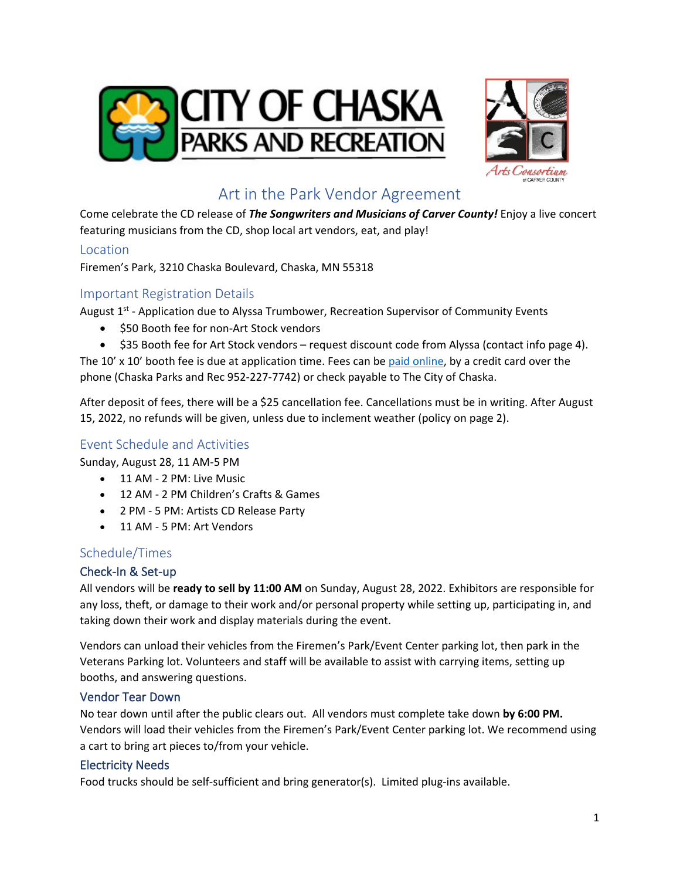



# Art in the Park Vendor Agreement

Come celebrate the CD release of *The Songwriters and Musicians of Carver County!* Enjoy a live concert featuring musicians from the CD, shop local art vendors, eat, and play!

#### Location

Firemen's Park, 3210 Chaska Boulevard, Chaska, MN 55318

### Important Registration Details

August 1<sup>st</sup> - Application due to Alyssa Trumbower, Recreation Supervisor of Community Events

- \$50 Booth fee for non-Art Stock vendors
- \$35 Booth fee for Art Stock vendors request discount code from Alyssa (contact info page 4).

The 10' x 10' booth fee is due at application time. Fees can be paid [online,](https://apm.activecommunities.com/chaska/Activity_Search/11260) by a credit card over the phone (Chaska Parks and Rec 952-227-7742) or check payable to The City of Chaska.

After deposit of fees, there will be a \$25 cancellation fee. Cancellations must be in writing. After August 15, 2022, no refunds will be given, unless due to inclement weather (policy on page 2).

## Event Schedule and Activities

Sunday, August 28, 11 AM-5 PM

- 11 AM 2 PM: Live Music
- 12 AM 2 PM Children's Crafts & Games
- 2 PM 5 PM: Artists CD Release Party
- 11 AM 5 PM: Art Vendors

### Schedule/Times

#### Check-In & Set-up

All vendors will be **ready to sell by 11:00 AM** on Sunday, August 28, 2022. Exhibitors are responsible for any loss, theft, or damage to their work and/or personal property while setting up, participating in, and taking down their work and display materials during the event.

Vendors can unload their vehicles from the Firemen's Park/Event Center parking lot, then park in the Veterans Parking lot. Volunteers and staff will be available to assist with carrying items, setting up booths, and answering questions.

#### Vendor Tear Down

No tear down until after the public clears out. All vendors must complete take down **by 6:00 PM.** Vendors will load their vehicles from the Firemen's Park/Event Center parking lot. We recommend using a cart to bring art pieces to/from your vehicle.

#### Electricity Needs

Food trucks should be self-sufficient and bring generator(s). Limited plug-ins available.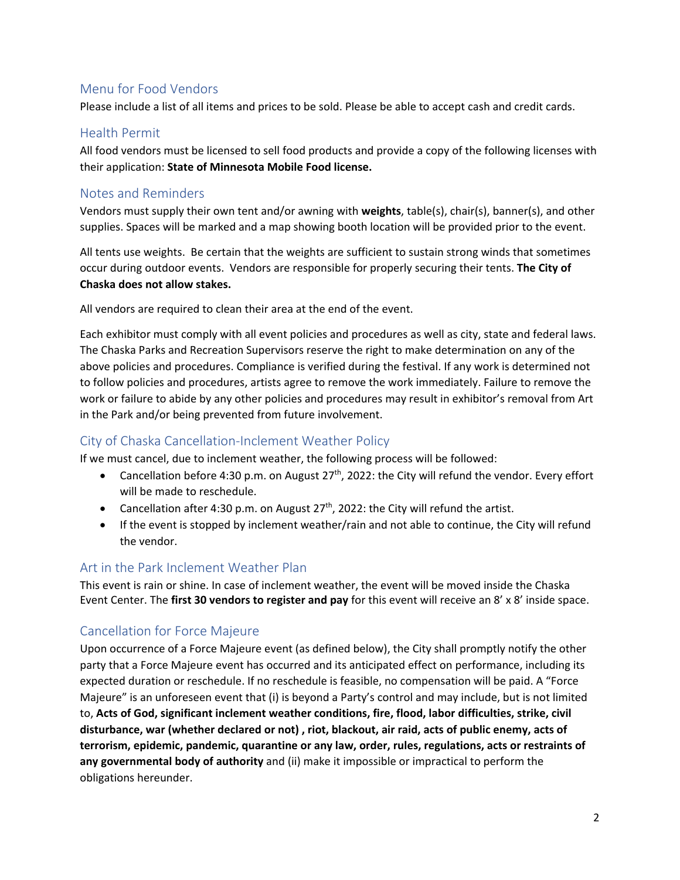## Menu for Food Vendors

Please include a list of all items and prices to be sold. Please be able to accept cash and credit cards.

#### Health Permit

All food vendors must be licensed to sell food products and provide a copy of the following licenses with their application: **State of Minnesota Mobile Food license.** 

## Notes and Reminders

Vendors must supply their own tent and/or awning with **weights**, table(s), chair(s), banner(s), and other supplies. Spaces will be marked and a map showing booth location will be provided prior to the event.

All tents use weights. Be certain that the weights are sufficient to sustain strong winds that sometimes occur during outdoor events. Vendors are responsible for properly securing their tents. **The City of Chaska does not allow stakes.**

All vendors are required to clean their area at the end of the event.

Each exhibitor must comply with all event policies and procedures as well as city, state and federal laws. The Chaska Parks and Recreation Supervisors reserve the right to make determination on any of the above policies and procedures. Compliance is verified during the festival. If any work is determined not to follow policies and procedures, artists agree to remove the work immediately. Failure to remove the work or failure to abide by any other policies and procedures may result in exhibitor's removal from Art in the Park and/or being prevented from future involvement.

### City of Chaska Cancellation-Inclement Weather Policy

If we must cancel, due to inclement weather, the following process will be followed:

- Cancellation before 4:30 p.m. on August  $27<sup>th</sup>$ , 2022: the City will refund the vendor. Every effort will be made to reschedule.
- Cancellation after 4:30 p.m. on August  $27<sup>th</sup>$ , 2022: the City will refund the artist.
- If the event is stopped by inclement weather/rain and not able to continue, the City will refund the vendor.

### Art in the Park Inclement Weather Plan

This event is rain or shine. In case of inclement weather, the event will be moved inside the Chaska Event Center. The **first 30 vendors to register and pay** for this event will receive an 8' x 8' inside space.

## Cancellation for Force Majeure

Upon occurrence of a Force Majeure event (as defined below), the City shall promptly notify the other party that a Force Majeure event has occurred and its anticipated effect on performance, including its expected duration or reschedule. If no reschedule is feasible, no compensation will be paid. A "Force Majeure" is an unforeseen event that (i) is beyond a Party's control and may include, but is not limited to, **Acts of God, significant inclement weather conditions, fire, flood, labor difficulties, strike, civil disturbance, war (whether declared or not) , riot, blackout, air raid, acts of public enemy, acts of terrorism, epidemic, pandemic, quarantine or any law, order, rules, regulations, acts or restraints of any governmental body of authority** and (ii) make it impossible or impractical to perform the obligations hereunder.